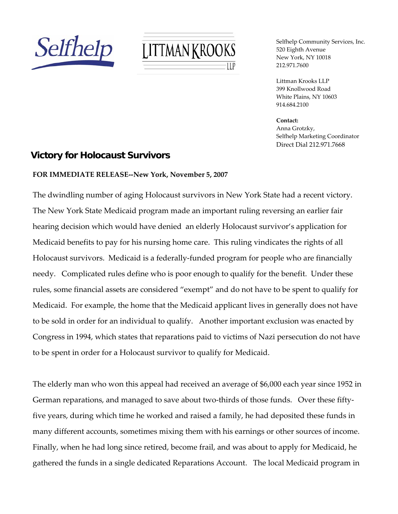



Selfhelp Community Services, Inc. 520 Eighth Avenue New York, NY 10018 212.971.7600

Littman Krooks LLP 399 Knollwood Road White Plains, NY 10603 914.684.2100

**Contact:** Anna Grotzky, Selfhelp Marketing Coordinator Direct Dial 212.971.7668

## **Victory for Holocaust Survivors**

## **FOR IMMEDIATE RELEASE‐‐New York, November 5, 2007**

The dwindling number of aging Holocaust survivors in New York State had a recent victory. The New York State Medicaid program made an important ruling reversing an earlier fair hearing decision which would have denied an elderly Holocaust survivor's application for Medicaid benefits to pay for his nursing home care. This ruling vindicates the rights of all Holocaust survivors. Medicaid is a federally‐funded program for people who are financially needy. Complicated rules define who is poor enough to qualify for the benefit. Under these rules, some financial assets are considered "exempt" and do not have to be spent to qualify for Medicaid. For example, the home that the Medicaid applicant lives in generally does not have to be sold in order for an individual to qualify. Another important exclusion was enacted by Congress in 1994, which states that reparations paid to victims of Nazi persecution do not have to be spent in order for a Holocaust survivor to qualify for Medicaid.

The elderly man who won this appeal had received an average of \$6,000 each year since 1952 in German reparations, and managed to save about two-thirds of those funds. Over these fiftyfive years, during which time he worked and raised a family, he had deposited these funds in many different accounts, sometimes mixing them with his earnings or other sources of income. Finally, when he had long since retired, become frail, and was about to apply for Medicaid, he gathered the funds in a single dedicated Reparations Account. The local Medicaid program in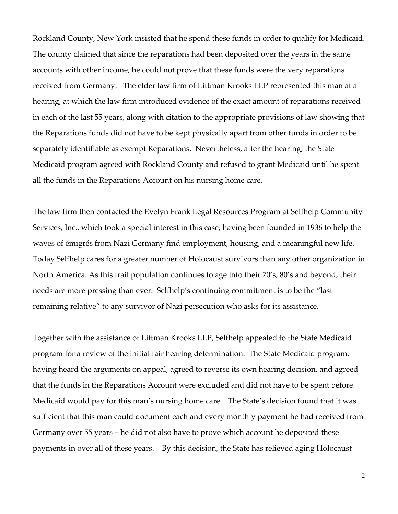Rockland County, New York insisted that he spend these funds in order to qualify for Medicaid. The county claimed that since the reparations had been deposited over the years in the same accounts with other income, he could not prove that these funds were the very reparations received from Germany. The elder law firm of Littman Krooks LLP represented this man at a hearing, at which the law firm introduced evidence of the exact amount of reparations received in each of the last 55 years, along with citation to the appropriate provisions of law showing that the Reparations funds did not have to be kept physically apart from other funds in order to be separately identifiable as exempt Reparations. Nevertheless, after the hearing, the State Medicaid program agreed with Rockland County and refused to grant Medicaid until he spent all the funds in the Reparations Account on his nursing home care.

The law firm then contacted the Evelyn Frank Legal Resources Program at Selfhelp Community Services, Inc., which took a special interest in this case, having been founded in 1936 to help the waves of émigrés from Nazi Germany find employment, housing, and a meaningful new life. Today Selfhelp cares for a greater number of Holocaust survivors than any other organization in North America. As this frail population continues to age into their 70's, 80's and beyond, their needs are more pressing than ever. Selfhelp's continuing commitment is to be the "last remaining relative" to any survivor of Nazi persecution who asks for its assistance.

Together with the assistance of Littman Krooks LLP, Selfhelp appealed to the State Medicaid program for a review of the initial fair hearing determination. The State Medicaid program, having heard the arguments on appeal, agreed to reverse its own hearing decision, and agreed that the funds in the Reparations Account were excluded and did not have to be spent before Medicaid would pay for this man's nursing home care. The State's decision found that it was sufficient that this man could document each and every monthly payment he had received from Germany over 55 years – he did not also have to prove which account he deposited these payments in over all of these years. By this decision, the State has relieved aging Holocaust